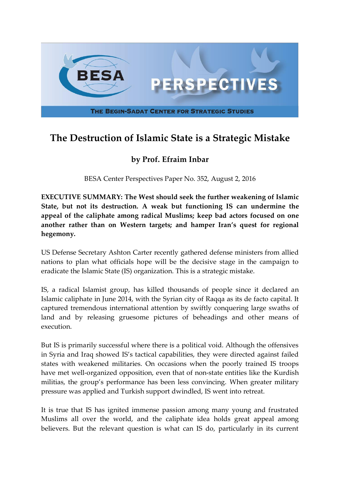

## **The Destruction of Islamic State is a Strategic Mistake**

## **by Prof. Efraim Inbar**

BESA Center Perspectives Paper No. 352, August 2, 2016

**EXECUTIVE SUMMARY: The West should seek the further weakening of Islamic State, but not its destruction. A weak but functioning IS can undermine the appeal of the caliphate among radical Muslims; keep bad actors focused on one another rather than on Western targets; and hamper Iran's quest for regional hegemony.**

US Defense Secretary Ashton Carter recently gathered defense ministers from allied nations to plan what officials hope will be the decisive stage in the campaign to eradicate the Islamic State (IS) organization. This is a strategic mistake.

IS, a radical Islamist group, has killed thousands of people since it declared an Islamic caliphate in June 2014, with the Syrian city of Raqqa as its de facto capital. It captured tremendous international attention by swiftly conquering large swaths of land and by releasing gruesome pictures of beheadings and other means of execution.

But IS is primarily successful where there is a political void. Although the offensives in Syria and Iraq showed IS's tactical capabilities, they were directed against failed states with weakened militaries. On occasions when the poorly trained IS troops have met well-organized opposition, even that of non-state entities like the Kurdish militias, the group's performance has been less convincing. When greater military pressure was applied and Turkish support dwindled, IS went into retreat.

It is true that IS has ignited immense passion among many young and frustrated Muslims all over the world, and the caliphate idea holds great appeal among believers. But the relevant question is what can IS do, particularly in its current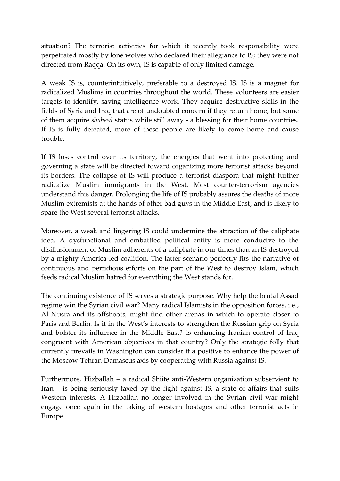situation? The terrorist activities for which it recently took responsibility were perpetrated mostly by lone wolves who declared their allegiance to IS; they were not directed from Raqqa. On its own, IS is capable of only limited damage.

A weak IS is, counterintuitively, preferable to a destroyed IS. IS is a magnet for radicalized Muslims in countries throughout the world. These volunteers are easier targets to identify, saving intelligence work. They acquire destructive skills in the fields of Syria and Iraq that are of undoubted concern if they return home, but some of them acquire *shaheed* status while still away - a blessing for their home countries. If IS is fully defeated, more of these people are likely to come home and cause trouble.

If IS loses control over its territory, the energies that went into protecting and governing a state will be directed toward organizing more terrorist attacks beyond its borders. The collapse of IS will produce a terrorist diaspora that might further radicalize Muslim immigrants in the West. Most counter-terrorism agencies understand this danger. Prolonging the life of IS probably assures the deaths of more Muslim extremists at the hands of other bad guys in the Middle East, and is likely to spare the West several terrorist attacks.

Moreover, a weak and lingering IS could undermine the attraction of the caliphate idea. A dysfunctional and embattled political entity is more conducive to the disillusionment of Muslim adherents of a caliphate in our times than an IS destroyed by a mighty America-led coalition. The latter scenario perfectly fits the narrative of continuous and perfidious efforts on the part of the West to destroy Islam, which feeds radical Muslim hatred for everything the West stands for.

The continuing existence of IS serves a strategic purpose. Why help the brutal Assad regime win the Syrian civil war? Many radical Islamists in the opposition forces, i.e., Al Nusra and its offshoots, might find other arenas in which to operate closer to Paris and Berlin. Is it in the West's interests to strengthen the Russian grip on Syria and bolster its influence in the Middle East? Is enhancing Iranian control of Iraq congruent with American objectives in that country? Only the strategic folly that currently prevails in Washington can consider it a positive to enhance the power of the Moscow-Tehran-Damascus axis by cooperating with Russia against IS.

Furthermore, Hizballah – a radical Shiite anti-Western organization subservient to Iran – is being seriously taxed by the fight against IS, a state of affairs that suits Western interests. A Hizballah no longer involved in the Syrian civil war might engage once again in the taking of western hostages and other terrorist acts in Europe.